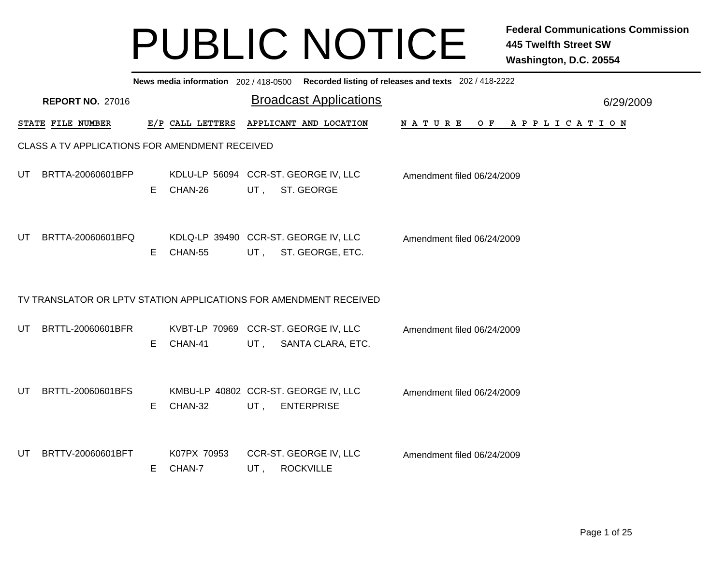|     | News media information 202/418-0500 Recorded listing of releases and texts 202/418-2222 |    |                       |        |                                                                   |                               |           |  |  |  |  |  |
|-----|-----------------------------------------------------------------------------------------|----|-----------------------|--------|-------------------------------------------------------------------|-------------------------------|-----------|--|--|--|--|--|
|     | <b>REPORT NO. 27016</b>                                                                 |    |                       |        | <b>Broadcast Applications</b>                                     |                               | 6/29/2009 |  |  |  |  |  |
|     | STATE FILE NUMBER                                                                       |    | E/P CALL LETTERS      |        | APPLICANT AND LOCATION                                            | OF APPLICATION<br>N A T U R E |           |  |  |  |  |  |
|     | CLASS A TV APPLICATIONS FOR AMENDMENT RECEIVED                                          |    |                       |        |                                                                   |                               |           |  |  |  |  |  |
| UT. | BRTTA-20060601BFP                                                                       | E. | CHAN-26               | UT,    | KDLU-LP 56094 CCR-ST. GEORGE IV, LLC<br>ST. GEORGE                | Amendment filed 06/24/2009    |           |  |  |  |  |  |
| UT  | BRTTA-20060601BFQ                                                                       | Е  | CHAN-55               | UT,    | KDLQ-LP 39490 CCR-ST. GEORGE IV, LLC<br>ST. GEORGE, ETC.          | Amendment filed 06/24/2009    |           |  |  |  |  |  |
|     |                                                                                         |    |                       |        | TV TRANSLATOR OR LPTV STATION APPLICATIONS FOR AMENDMENT RECEIVED |                               |           |  |  |  |  |  |
| UT. | BRTTL-20060601BFR                                                                       | E  | CHAN-41               | UT .   | KVBT-LP 70969 CCR-ST. GEORGE IV, LLC<br>SANTA CLARA, ETC.         | Amendment filed 06/24/2009    |           |  |  |  |  |  |
| UT. | BRTTL-20060601BFS                                                                       | E. | CHAN-32               | $UT$ , | KMBU-LP 40802 CCR-ST. GEORGE IV, LLC<br><b>ENTERPRISE</b>         | Amendment filed 06/24/2009    |           |  |  |  |  |  |
| UT  | BRTTV-20060601BFT                                                                       | E  | K07PX 70953<br>CHAN-7 | UT,    | CCR-ST. GEORGE IV, LLC<br><b>ROCKVILLE</b>                        | Amendment filed 06/24/2009    |           |  |  |  |  |  |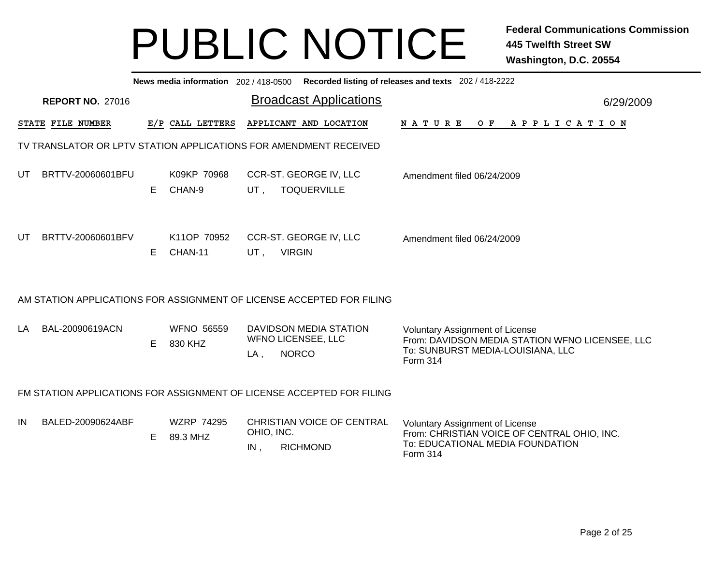|    | Recorded listing of releases and texts 202 / 418-2222<br>News media information 202/418-0500 |    |                               |                   |                                                                       |                                                                                                                                              |           |  |  |  |  |  |
|----|----------------------------------------------------------------------------------------------|----|-------------------------------|-------------------|-----------------------------------------------------------------------|----------------------------------------------------------------------------------------------------------------------------------------------|-----------|--|--|--|--|--|
|    | <b>REPORT NO. 27016</b>                                                                      |    |                               |                   | <b>Broadcast Applications</b>                                         |                                                                                                                                              | 6/29/2009 |  |  |  |  |  |
|    | STATE FILE NUMBER                                                                            |    | E/P CALL LETTERS              |                   | APPLICANT AND LOCATION                                                | N A T U R E<br>O F<br>A P P L I C A T I O N                                                                                                  |           |  |  |  |  |  |
|    |                                                                                              |    |                               |                   | TV TRANSLATOR OR LPTV STATION APPLICATIONS FOR AMENDMENT RECEIVED     |                                                                                                                                              |           |  |  |  |  |  |
| UT | BRTTV-20060601BFU                                                                            | E. | K09KP 70968<br>CHAN-9         | UT,               | CCR-ST. GEORGE IV, LLC<br><b>TOQUERVILLE</b>                          | Amendment filed 06/24/2009                                                                                                                   |           |  |  |  |  |  |
| UT | BRTTV-20060601BFV                                                                            | E  | K11OP 70952<br>CHAN-11        | UT,               | CCR-ST. GEORGE IV, LLC<br><b>VIRGIN</b>                               | Amendment filed 06/24/2009                                                                                                                   |           |  |  |  |  |  |
|    |                                                                                              |    |                               |                   | AM STATION APPLICATIONS FOR ASSIGNMENT OF LICENSE ACCEPTED FOR FILING |                                                                                                                                              |           |  |  |  |  |  |
| LA | BAL-20090619ACN                                                                              | E  | <b>WFNO 56559</b><br>830 KHZ  | LA,               | DAVIDSON MEDIA STATION<br><b>WFNO LICENSEE, LLC</b><br><b>NORCO</b>   | Voluntary Assignment of License<br>From: DAVIDSON MEDIA STATION WFNO LICENSEE, LLC<br>To: SUNBURST MEDIA-LOUISIANA, LLC<br>Form 314          |           |  |  |  |  |  |
|    |                                                                                              |    |                               |                   | FM STATION APPLICATIONS FOR ASSIGNMENT OF LICENSE ACCEPTED FOR FILING |                                                                                                                                              |           |  |  |  |  |  |
| IN | BALED-20090624ABF                                                                            | E  | <b>WZRP 74295</b><br>89.3 MHZ | OHIO, INC.<br>IN, | <b>CHRISTIAN VOICE OF CENTRAL</b><br><b>RICHMOND</b>                  | <b>Voluntary Assignment of License</b><br>From: CHRISTIAN VOICE OF CENTRAL OHIO, INC.<br>To: EDUCATIONAL MEDIA FOUNDATION<br><b>Form 314</b> |           |  |  |  |  |  |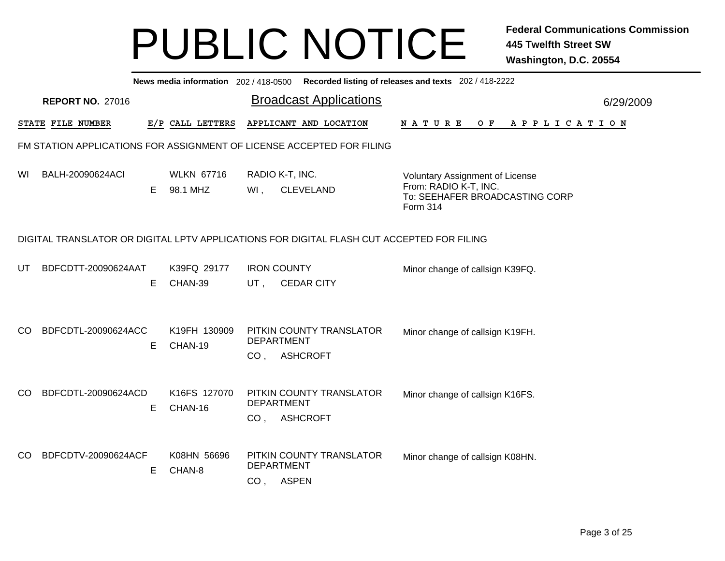|     | News media information 202 / 418-0500 Recorded listing of releases and texts 202 / 418-2222 |   |                               |                                                                                                                                                      |                       |  |  |  |  |  |  |  |
|-----|---------------------------------------------------------------------------------------------|---|-------------------------------|------------------------------------------------------------------------------------------------------------------------------------------------------|-----------------------|--|--|--|--|--|--|--|
|     | <b>REPORT NO. 27016</b>                                                                     |   |                               | <b>Broadcast Applications</b>                                                                                                                        | 6/29/2009             |  |  |  |  |  |  |  |
|     | STATE FILE NUMBER                                                                           |   | E/P CALL LETTERS              | APPLICANT AND LOCATION<br>O F<br><b>NATURE</b>                                                                                                       | A P P L I C A T I O N |  |  |  |  |  |  |  |
|     |                                                                                             |   |                               | FM STATION APPLICATIONS FOR ASSIGNMENT OF LICENSE ACCEPTED FOR FILING                                                                                |                       |  |  |  |  |  |  |  |
| WI  | BALH-20090624ACI                                                                            | E | <b>WLKN 67716</b><br>98.1 MHZ | RADIO K-T, INC.<br>Voluntary Assignment of License<br>From: RADIO K-T, INC.<br>Wl,<br><b>CLEVELAND</b><br>To: SEEHAFER BROADCASTING CORP<br>Form 314 |                       |  |  |  |  |  |  |  |
|     |                                                                                             |   |                               | DIGITAL TRANSLATOR OR DIGITAL LPTV APPLICATIONS FOR DIGITAL FLASH CUT ACCEPTED FOR FILING                                                            |                       |  |  |  |  |  |  |  |
| UT  | BDFCDTT-20090624AAT                                                                         | Е | K39FQ 29177<br>CHAN-39        | <b>IRON COUNTY</b><br>Minor change of callsign K39FQ.<br>$UT$ ,<br><b>CEDAR CITY</b>                                                                 |                       |  |  |  |  |  |  |  |
| CO. | BDFCDTL-20090624ACC                                                                         | E | K19FH 130909<br>CHAN-19       | PITKIN COUNTY TRANSLATOR<br>Minor change of callsign K19FH.<br><b>DEPARTMENT</b><br><b>ASHCROFT</b><br>CO <sub>1</sub>                               |                       |  |  |  |  |  |  |  |
| CO. | BDFCDTL-20090624ACD                                                                         | Е | K16FS 127070<br>CHAN-16       | PITKIN COUNTY TRANSLATOR<br>Minor change of callsign K16FS.<br><b>DEPARTMENT</b><br><b>ASHCROFT</b><br>CO <sub>1</sub>                               |                       |  |  |  |  |  |  |  |
| CO. | BDFCDTV-20090624ACF                                                                         | Е | K08HN 56696<br>CHAN-8         | PITKIN COUNTY TRANSLATOR<br>Minor change of callsign K08HN.<br><b>DEPARTMENT</b><br>CO, ASPEN                                                        |                       |  |  |  |  |  |  |  |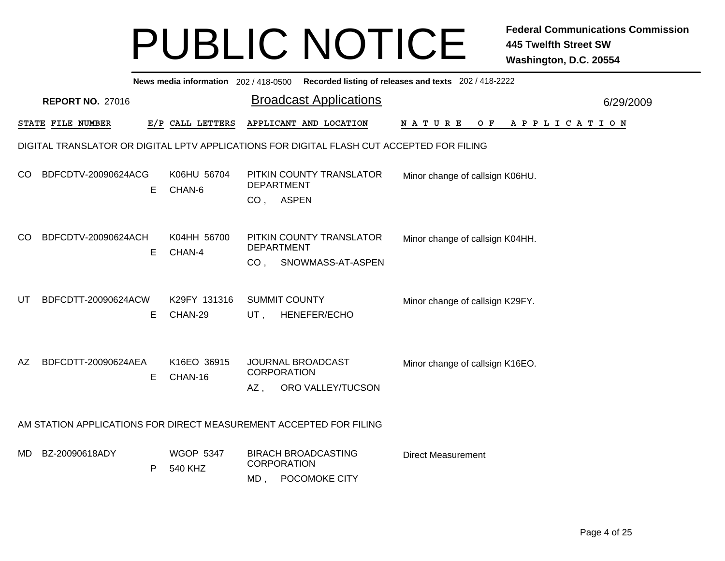|     | News media information 202 / 418-0500 Recorded listing of releases and texts 202 / 418-2222 |    |                             |                                      |  |                                                 |                                 |  |  |  |  |       |  |  |  |                       |  |           |
|-----|---------------------------------------------------------------------------------------------|----|-----------------------------|--------------------------------------|--|-------------------------------------------------|---------------------------------|--|--|--|--|-------|--|--|--|-----------------------|--|-----------|
|     | <b>REPORT NO. 27016</b>                                                                     |    |                             |                                      |  | <b>Broadcast Applications</b>                   |                                 |  |  |  |  |       |  |  |  |                       |  | 6/29/2009 |
|     | STATE FILE NUMBER                                                                           |    | E/P CALL LETTERS            |                                      |  | APPLICANT AND LOCATION                          | N A T U R E                     |  |  |  |  | $O$ F |  |  |  | A P P L I C A T I O N |  |           |
|     | DIGITAL TRANSLATOR OR DIGITAL LPTV APPLICATIONS FOR DIGITAL FLASH CUT ACCEPTED FOR FILING   |    |                             |                                      |  |                                                 |                                 |  |  |  |  |       |  |  |  |                       |  |           |
| CO. | BDFCDTV-20090624ACG                                                                         | Е  | K06HU 56704<br>CHAN-6       | <b>DEPARTMENT</b><br>CO, ASPEN       |  | PITKIN COUNTY TRANSLATOR                        | Minor change of callsign K06HU. |  |  |  |  |       |  |  |  |                       |  |           |
| CO  | BDFCDTV-20090624ACH                                                                         | Е  | K04HH 56700<br>CHAN-4       | <b>DEPARTMENT</b><br>CO <sub>1</sub> |  | PITKIN COUNTY TRANSLATOR<br>SNOWMASS-AT-ASPEN   | Minor change of callsign K04HH. |  |  |  |  |       |  |  |  |                       |  |           |
| UT  | BDFCDTT-20090624ACW                                                                         | E. | K29FY 131316<br>CHAN-29     | <b>SUMMIT COUNTY</b><br>UT,          |  | HENEFER/ECHO                                    | Minor change of callsign K29FY. |  |  |  |  |       |  |  |  |                       |  |           |
| AZ  | BDFCDTT-20090624AEA                                                                         | Е  | K16EO 36915<br>CHAN-16      | <b>CORPORATION</b><br>$AZ$ ,         |  | JOURNAL BROADCAST<br>ORO VALLEY/TUCSON          | Minor change of callsign K16EO. |  |  |  |  |       |  |  |  |                       |  |           |
|     | AM STATION APPLICATIONS FOR DIRECT MEASUREMENT ACCEPTED FOR FILING                          |    |                             |                                      |  |                                                 |                                 |  |  |  |  |       |  |  |  |                       |  |           |
| MD. | BZ-20090618ADY                                                                              | P  | <b>WGOP 5347</b><br>540 KHZ | <b>CORPORATION</b>                   |  | <b>BIRACH BROADCASTING</b><br>MD, POCOMOKE CITY | <b>Direct Measurement</b>       |  |  |  |  |       |  |  |  |                       |  |           |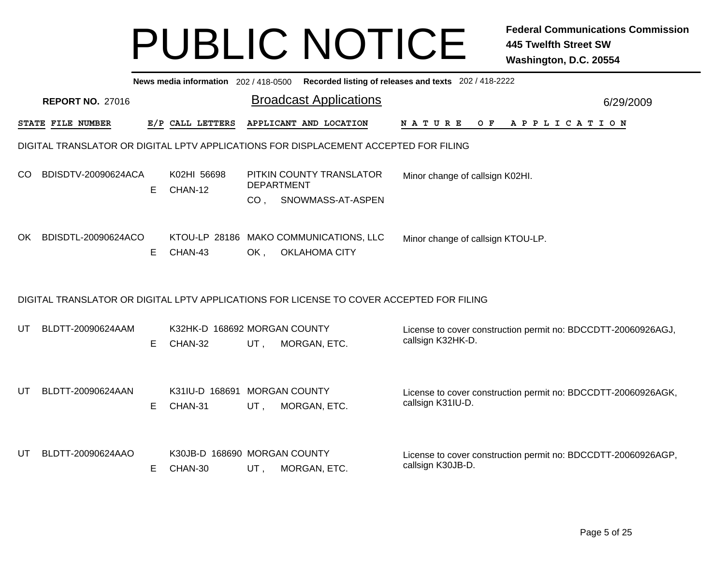|     | News media information 202 / 418-0500 Recorded listing of releases and texts 202 / 418-2222 |    |                              |                               |  |                                                                |  |                                   |  |     |  |           |  |                       |  |                                                               |
|-----|---------------------------------------------------------------------------------------------|----|------------------------------|-------------------------------|--|----------------------------------------------------------------|--|-----------------------------------|--|-----|--|-----------|--|-----------------------|--|---------------------------------------------------------------|
|     | <b>REPORT NO. 27016</b>                                                                     |    |                              | <b>Broadcast Applications</b> |  |                                                                |  |                                   |  |     |  | 6/29/2009 |  |                       |  |                                                               |
|     | STATE FILE NUMBER                                                                           |    | E/P CALL LETTERS             |                               |  | APPLICANT AND LOCATION                                         |  | N A T U R E                       |  | O F |  |           |  | A P P L I C A T I O N |  |                                                               |
|     | DIGITAL TRANSLATOR OR DIGITAL LPTV APPLICATIONS FOR DISPLACEMENT ACCEPTED FOR FILING        |    |                              |                               |  |                                                                |  |                                   |  |     |  |           |  |                       |  |                                                               |
| CO. | BDISDTV-20090624ACA                                                                         | E. | K02HI 56698<br>CHAN-12       | <b>DEPARTMENT</b>             |  | PITKIN COUNTY TRANSLATOR                                       |  | Minor change of callsign K02HI.   |  |     |  |           |  |                       |  |                                                               |
|     |                                                                                             |    |                              | CO <sub>1</sub>               |  | SNOWMASS-AT-ASPEN                                              |  |                                   |  |     |  |           |  |                       |  |                                                               |
| OK. | BDISDTL-20090624ACO                                                                         | E. | CHAN-43                      | OK,                           |  | KTOU-LP 28186 MAKO COMMUNICATIONS, LLC<br><b>OKLAHOMA CITY</b> |  | Minor change of callsign KTOU-LP. |  |     |  |           |  |                       |  |                                                               |
|     |                                                                                             |    |                              |                               |  |                                                                |  |                                   |  |     |  |           |  |                       |  |                                                               |
|     | DIGITAL TRANSLATOR OR DIGITAL LPTV APPLICATIONS FOR LICENSE TO COVER ACCEPTED FOR FILING    |    |                              |                               |  |                                                                |  |                                   |  |     |  |           |  |                       |  |                                                               |
| UT  | BLDTT-20090624AAM                                                                           |    | K32HK-D 168692 MORGAN COUNTY |                               |  |                                                                |  | callsign K32HK-D.                 |  |     |  |           |  |                       |  | License to cover construction permit no: BDCCDTT-20060926AGJ, |
|     |                                                                                             | E. | CHAN-32                      | UT,                           |  | MORGAN, ETC.                                                   |  |                                   |  |     |  |           |  |                       |  |                                                               |
| UT  | BLDTT-20090624AAN                                                                           |    | K31IU-D 168691               | <b>MORGAN COUNTY</b>          |  |                                                                |  |                                   |  |     |  |           |  |                       |  | License to cover construction permit no: BDCCDTT-20060926AGK, |
|     |                                                                                             | E  | CHAN-31                      | UT,                           |  | MORGAN, ETC.                                                   |  | callsign K31IU-D.                 |  |     |  |           |  |                       |  |                                                               |
| UT  | BLDTT-20090624AAO                                                                           |    | K30JB-D 168690 MORGAN COUNTY |                               |  |                                                                |  |                                   |  |     |  |           |  |                       |  | License to cover construction permit no: BDCCDTT-20060926AGP, |
|     |                                                                                             | Е  | CHAN-30                      | UT,                           |  | MORGAN, ETC.                                                   |  | callsign K30JB-D.                 |  |     |  |           |  |                       |  |                                                               |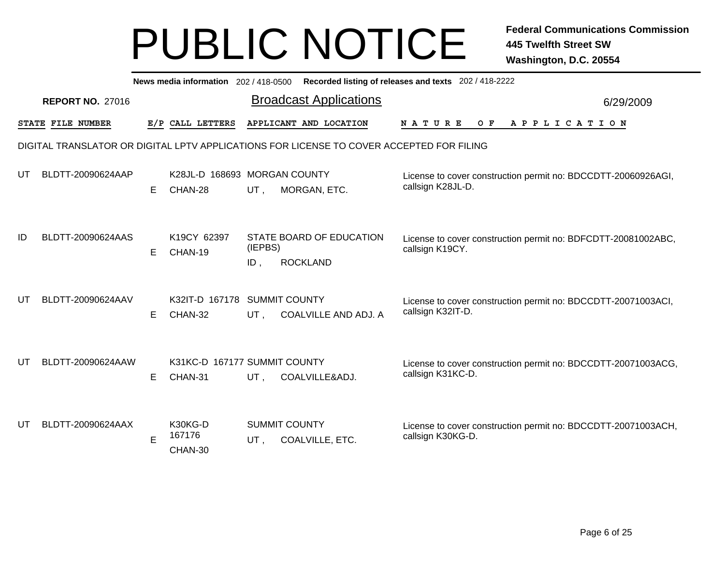|    | News media information 202/418-0500 Recorded listing of releases and texts 202/418-2222 |   |                                         |                |                                                                                          |                                                                                    |           |  |  |  |  |  |
|----|-----------------------------------------------------------------------------------------|---|-----------------------------------------|----------------|------------------------------------------------------------------------------------------|------------------------------------------------------------------------------------|-----------|--|--|--|--|--|
|    | <b>REPORT NO. 27016</b>                                                                 |   |                                         |                | <b>Broadcast Applications</b>                                                            |                                                                                    | 6/29/2009 |  |  |  |  |  |
|    | STATE FILE NUMBER                                                                       |   | E/P CALL LETTERS                        |                | APPLICANT AND LOCATION                                                                   | NATURE<br>O F<br>A P P L I C A T I O N                                             |           |  |  |  |  |  |
|    |                                                                                         |   |                                         |                | DIGITAL TRANSLATOR OR DIGITAL LPTV APPLICATIONS FOR LICENSE TO COVER ACCEPTED FOR FILING |                                                                                    |           |  |  |  |  |  |
| UT | BLDTT-20090624AAP                                                                       | Е | K28JL-D 168693 MORGAN COUNTY<br>CHAN-28 | UT,            | MORGAN, ETC.                                                                             | License to cover construction permit no: BDCCDTT-20060926AGI,<br>callsign K28JL-D. |           |  |  |  |  |  |
| ID | BLDTT-20090624AAS                                                                       | Е | K19CY 62397<br>CHAN-19                  | (IEPBS)<br>ID, | STATE BOARD OF EDUCATION<br><b>ROCKLAND</b>                                              | License to cover construction permit no: BDFCDTT-20081002ABC,<br>callsign K19CY.   |           |  |  |  |  |  |
| UT | BLDTT-20090624AAV                                                                       | Е | K32IT-D 167178<br>CHAN-32               | UT,            | <b>SUMMIT COUNTY</b><br>COALVILLE AND ADJ. A                                             | License to cover construction permit no: BDCCDTT-20071003ACI,<br>callsign K32IT-D. |           |  |  |  |  |  |
| UT | BLDTT-20090624AAW                                                                       | Е | K31KC-D 167177 SUMMIT COUNTY<br>CHAN-31 | UT,            | COALVILLE&ADJ.                                                                           | License to cover construction permit no: BDCCDTT-20071003ACG,<br>callsign K31KC-D. |           |  |  |  |  |  |
| UT | BLDTT-20090624AAX                                                                       | E | K30KG-D<br>167176<br>CHAN-30            | UT,            | <b>SUMMIT COUNTY</b><br><b>COALVILLE, ETC.</b>                                           | License to cover construction permit no: BDCCDTT-20071003ACH,<br>callsign K30KG-D. |           |  |  |  |  |  |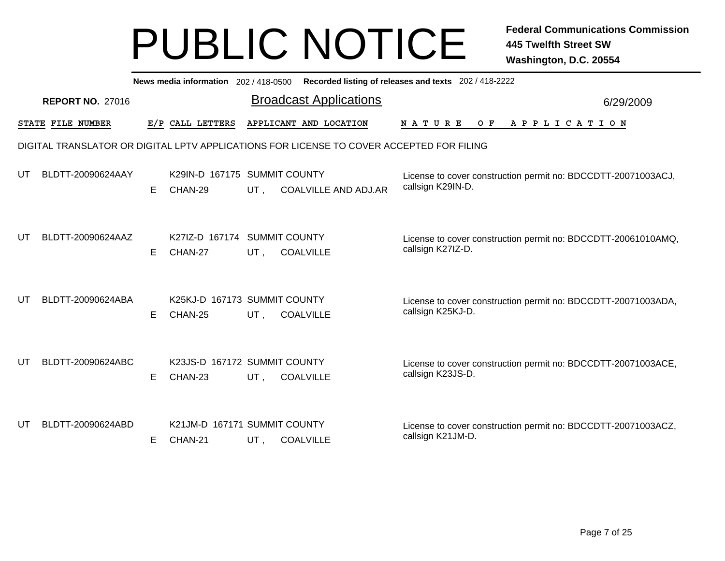|    | Recorded listing of releases and texts 202 / 418-2222<br>News media information 202 / 418-0500 |    |                                         |     |                                                                                          |                                                                                    |           |  |  |  |  |  |
|----|------------------------------------------------------------------------------------------------|----|-----------------------------------------|-----|------------------------------------------------------------------------------------------|------------------------------------------------------------------------------------|-----------|--|--|--|--|--|
|    | <b>REPORT NO. 27016</b>                                                                        |    |                                         |     | <b>Broadcast Applications</b>                                                            |                                                                                    | 6/29/2009 |  |  |  |  |  |
|    | STATE FILE NUMBER                                                                              |    | E/P CALL LETTERS                        |     | APPLICANT AND LOCATION                                                                   | <b>NATURE</b><br>O F<br>A P P L I C A T I O N                                      |           |  |  |  |  |  |
|    |                                                                                                |    |                                         |     | DIGITAL TRANSLATOR OR DIGITAL LPTV APPLICATIONS FOR LICENSE TO COVER ACCEPTED FOR FILING |                                                                                    |           |  |  |  |  |  |
| UT | BLDTT-20090624AAY                                                                              | E. | K29IN-D 167175 SUMMIT COUNTY<br>CHAN-29 | UT, | <b>COALVILLE AND ADJ.AR</b>                                                              | License to cover construction permit no: BDCCDTT-20071003ACJ,<br>callsign K29IN-D. |           |  |  |  |  |  |
| UT | BLDTT-20090624AAZ                                                                              | E. | K27IZ-D 167174 SUMMIT COUNTY<br>CHAN-27 | UT, | <b>COALVILLE</b>                                                                         | License to cover construction permit no: BDCCDTT-20061010AMQ,<br>callsign K27IZ-D. |           |  |  |  |  |  |
| UT | BLDTT-20090624ABA                                                                              | E. | K25KJ-D 167173 SUMMIT COUNTY<br>CHAN-25 | UT, | <b>COALVILLE</b>                                                                         | License to cover construction permit no: BDCCDTT-20071003ADA,<br>callsign K25KJ-D. |           |  |  |  |  |  |
| UT | BLDTT-20090624ABC                                                                              | E. | K23JS-D 167172 SUMMIT COUNTY<br>CHAN-23 | UT, | <b>COALVILLE</b>                                                                         | License to cover construction permit no: BDCCDTT-20071003ACE,<br>callsign K23JS-D. |           |  |  |  |  |  |
| UT | BLDTT-20090624ABD                                                                              | E. | K21JM-D 167171 SUMMIT COUNTY<br>CHAN-21 | UT, | <b>COALVILLE</b>                                                                         | License to cover construction permit no: BDCCDTT-20071003ACZ,<br>callsign K21JM-D. |           |  |  |  |  |  |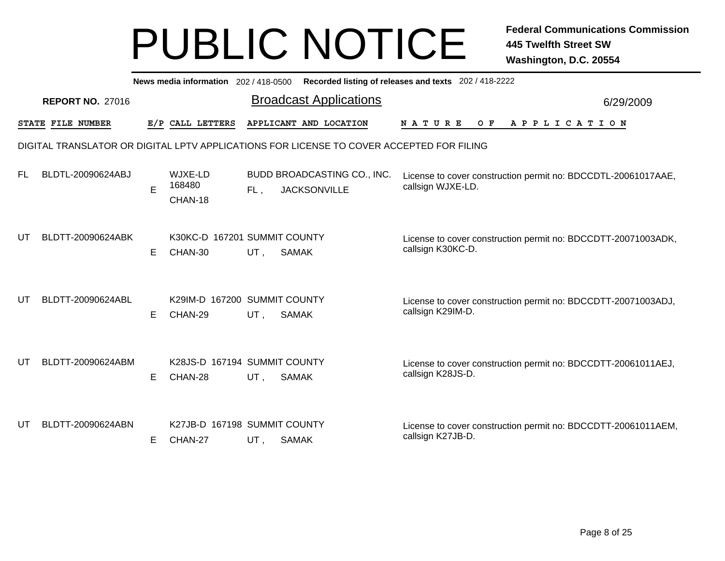|    | News media information 202 / 418-0500<br>Recorded listing of releases and texts 202 / 418-2222 |    |                                         |        |                                                                                          |                                                                                    |           |  |  |  |  |  |
|----|------------------------------------------------------------------------------------------------|----|-----------------------------------------|--------|------------------------------------------------------------------------------------------|------------------------------------------------------------------------------------|-----------|--|--|--|--|--|
|    | <b>REPORT NO. 27016</b>                                                                        |    |                                         |        | <b>Broadcast Applications</b>                                                            |                                                                                    | 6/29/2009 |  |  |  |  |  |
|    | STATE FILE NUMBER                                                                              |    | E/P CALL LETTERS                        |        | APPLICANT AND LOCATION                                                                   | N A T U R E<br>O F<br>A P P L I C A T I O N                                        |           |  |  |  |  |  |
|    |                                                                                                |    |                                         |        | DIGITAL TRANSLATOR OR DIGITAL LPTV APPLICATIONS FOR LICENSE TO COVER ACCEPTED FOR FILING |                                                                                    |           |  |  |  |  |  |
| FL | BLDTL-20090624ABJ                                                                              | E  | WJXE-LD<br>168480<br>CHAN-18            | FL,    | BUDD BROADCASTING CO., INC.<br><b>JACKSONVILLE</b>                                       | License to cover construction permit no: BDCCDTL-20061017AAE,<br>callsign WJXE-LD. |           |  |  |  |  |  |
| UT | BLDTT-20090624ABK                                                                              | E. | K30KC-D 167201 SUMMIT COUNTY<br>CHAN-30 | UT,    | <b>SAMAK</b>                                                                             | License to cover construction permit no: BDCCDTT-20071003ADK,<br>callsign K30KC-D. |           |  |  |  |  |  |
| UT | BLDTT-20090624ABL                                                                              | E. | K29IM-D 167200 SUMMIT COUNTY<br>CHAN-29 | UT,    | <b>SAMAK</b>                                                                             | License to cover construction permit no: BDCCDTT-20071003ADJ,<br>callsign K29IM-D. |           |  |  |  |  |  |
| UT | BLDTT-20090624ABM                                                                              | Е  | K28JS-D 167194 SUMMIT COUNTY<br>CHAN-28 | UT,    | <b>SAMAK</b>                                                                             | License to cover construction permit no: BDCCDTT-20061011AEJ,<br>callsign K28JS-D. |           |  |  |  |  |  |
| UT | BLDTT-20090624ABN                                                                              | E. | K27JB-D 167198 SUMMIT COUNTY<br>CHAN-27 | $UT$ , | <b>SAMAK</b>                                                                             | License to cover construction permit no: BDCCDTT-20061011AEM,<br>callsign K27JB-D. |           |  |  |  |  |  |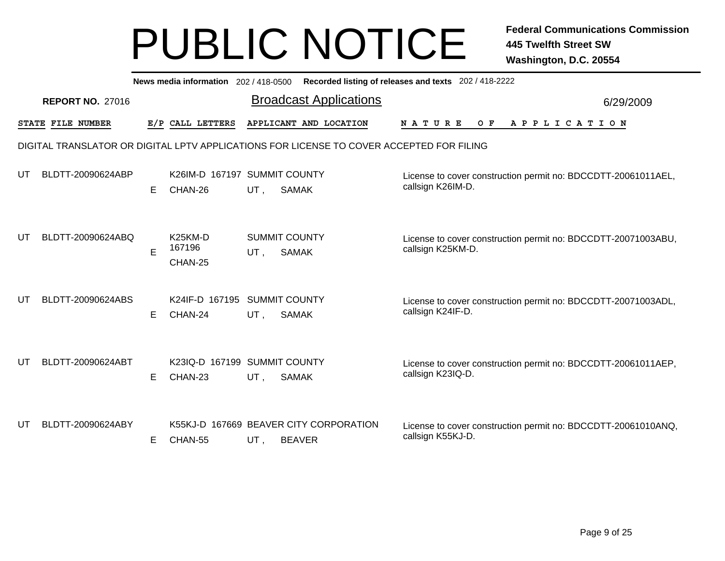|    | News media information 202 / 418-0500 Recorded listing of releases and texts 202 / 418-2222 |    |                                           |     |                                                                                          |                                                                                    |           |  |  |  |  |  |
|----|---------------------------------------------------------------------------------------------|----|-------------------------------------------|-----|------------------------------------------------------------------------------------------|------------------------------------------------------------------------------------|-----------|--|--|--|--|--|
|    | <b>REPORT NO. 27016</b>                                                                     |    |                                           |     | <b>Broadcast Applications</b>                                                            |                                                                                    | 6/29/2009 |  |  |  |  |  |
|    | STATE FILE NUMBER                                                                           |    | E/P CALL LETTERS                          |     | APPLICANT AND LOCATION                                                                   | O F<br><b>NATURE</b><br>A P P L I C A T I O N                                      |           |  |  |  |  |  |
|    |                                                                                             |    |                                           |     | DIGITAL TRANSLATOR OR DIGITAL LPTV APPLICATIONS FOR LICENSE TO COVER ACCEPTED FOR FILING |                                                                                    |           |  |  |  |  |  |
| UT | BLDTT-20090624ABP                                                                           | E. | K26IM-D 167197 SUMMIT COUNTY<br>CHAN-26   | UT, | <b>SAMAK</b>                                                                             | License to cover construction permit no: BDCCDTT-20061011AEL,<br>callsign K26IM-D. |           |  |  |  |  |  |
| UT | BLDTT-20090624ABQ                                                                           | E  | K <sub>25</sub> KM-D<br>167196<br>CHAN-25 | UT, | <b>SUMMIT COUNTY</b><br><b>SAMAK</b>                                                     | License to cover construction permit no: BDCCDTT-20071003ABU,<br>callsign K25KM-D. |           |  |  |  |  |  |
| UT | BLDTT-20090624ABS                                                                           | E. | K24IF-D 167195<br>CHAN-24                 | UT, | <b>SUMMIT COUNTY</b><br><b>SAMAK</b>                                                     | License to cover construction permit no: BDCCDTT-20071003ADL,<br>callsign K24IF-D. |           |  |  |  |  |  |
| UT | BLDTT-20090624ABT                                                                           | E. | K23IQ-D 167199 SUMMIT COUNTY<br>CHAN-23   | UT, | <b>SAMAK</b>                                                                             | License to cover construction permit no: BDCCDTT-20061011AEP,<br>callsign K23IQ-D. |           |  |  |  |  |  |
| UT | BLDTT-20090624ABY                                                                           | E. | CHAN-55                                   | UT, | K55KJ-D 167669 BEAVER CITY CORPORATION<br><b>BEAVER</b>                                  | License to cover construction permit no: BDCCDTT-20061010ANQ,<br>callsign K55KJ-D. |           |  |  |  |  |  |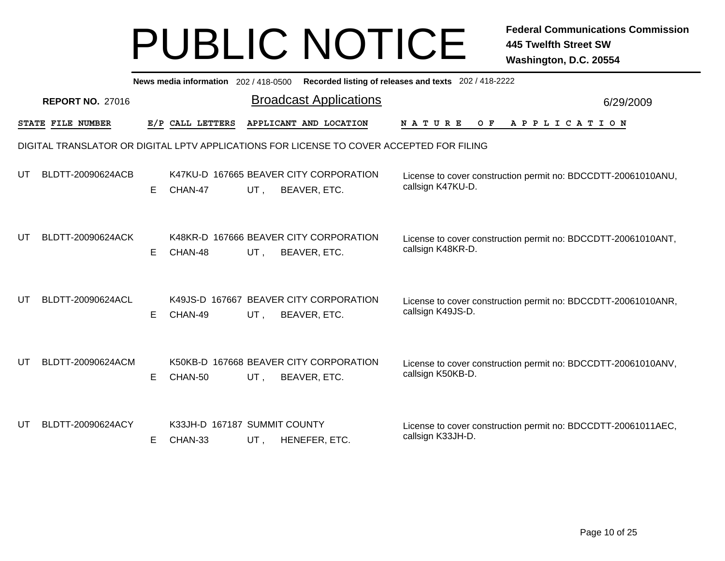|    | News media information 202 / 418-0500 Recorded listing of releases and texts 202 / 418-2222 |    |                                         |     |                                                                                          |                                                                                    |           |  |  |  |  |  |
|----|---------------------------------------------------------------------------------------------|----|-----------------------------------------|-----|------------------------------------------------------------------------------------------|------------------------------------------------------------------------------------|-----------|--|--|--|--|--|
|    | <b>REPORT NO. 27016</b>                                                                     |    |                                         |     | <b>Broadcast Applications</b>                                                            |                                                                                    | 6/29/2009 |  |  |  |  |  |
|    | STATE FILE NUMBER                                                                           |    | E/P CALL LETTERS                        |     | APPLICANT AND LOCATION                                                                   | <b>NATURE</b><br>O F<br>A P P L I C A T I O N                                      |           |  |  |  |  |  |
|    |                                                                                             |    |                                         |     | DIGITAL TRANSLATOR OR DIGITAL LPTV APPLICATIONS FOR LICENSE TO COVER ACCEPTED FOR FILING |                                                                                    |           |  |  |  |  |  |
| UT | BLDTT-20090624ACB                                                                           | E. | CHAN-47                                 | UT, | K47KU-D 167665 BEAVER CITY CORPORATION<br>BEAVER, ETC.                                   | License to cover construction permit no: BDCCDTT-20061010ANU,<br>callsign K47KU-D. |           |  |  |  |  |  |
| UT | BLDTT-20090624ACK                                                                           | E. | CHAN-48                                 | UT, | K48KR-D 167666 BEAVER CITY CORPORATION<br>BEAVER, ETC.                                   | License to cover construction permit no: BDCCDTT-20061010ANT,<br>callsign K48KR-D. |           |  |  |  |  |  |
| UT | BLDTT-20090624ACL                                                                           | E. | CHAN-49                                 | UT, | K49JS-D 167667 BEAVER CITY CORPORATION<br>BEAVER, ETC.                                   | License to cover construction permit no: BDCCDTT-20061010ANR,<br>callsign K49JS-D. |           |  |  |  |  |  |
| UT | BLDTT-20090624ACM                                                                           | E. | CHAN-50                                 | UT, | K50KB-D 167668 BEAVER CITY CORPORATION<br>BEAVER, ETC.                                   | License to cover construction permit no: BDCCDTT-20061010ANV,<br>callsign K50KB-D. |           |  |  |  |  |  |
| UT | BLDTT-20090624ACY                                                                           | E. | K33JH-D 167187 SUMMIT COUNTY<br>CHAN-33 | UT, | HENEFER, ETC.                                                                            | License to cover construction permit no: BDCCDTT-20061011AEC,<br>callsign K33JH-D. |           |  |  |  |  |  |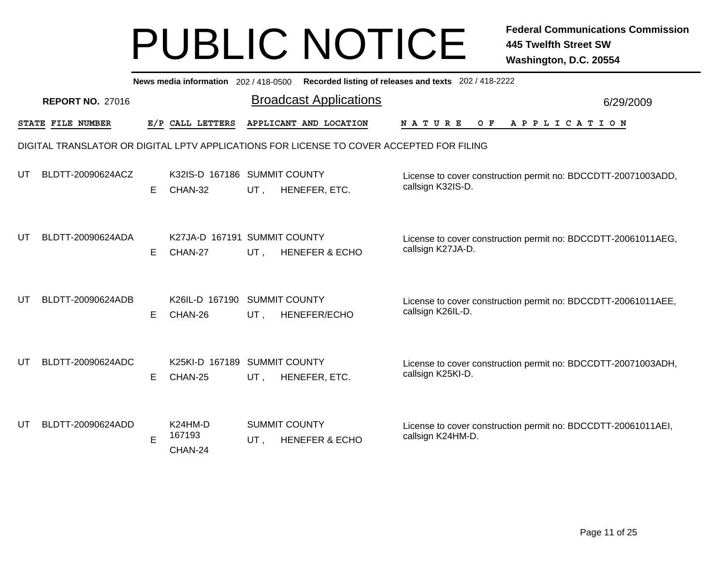|    | News media information 202 / 418-0500 Recorded listing of releases and texts 202 / 418-2222 |    |                                         |     |                                                                                          |                                                                                    |           |  |  |  |  |  |
|----|---------------------------------------------------------------------------------------------|----|-----------------------------------------|-----|------------------------------------------------------------------------------------------|------------------------------------------------------------------------------------|-----------|--|--|--|--|--|
|    | <b>REPORT NO. 27016</b>                                                                     |    |                                         |     | <b>Broadcast Applications</b>                                                            |                                                                                    | 6/29/2009 |  |  |  |  |  |
|    | STATE FILE NUMBER                                                                           |    | E/P CALL LETTERS                        |     | APPLICANT AND LOCATION                                                                   | <b>NATURE</b><br>O F<br>A P P L I C A T I O N                                      |           |  |  |  |  |  |
|    |                                                                                             |    |                                         |     | DIGITAL TRANSLATOR OR DIGITAL LPTV APPLICATIONS FOR LICENSE TO COVER ACCEPTED FOR FILING |                                                                                    |           |  |  |  |  |  |
| UT | BLDTT-20090624ACZ                                                                           | E. | K32IS-D 167186 SUMMIT COUNTY<br>CHAN-32 | UT, | HENEFER, ETC.                                                                            | License to cover construction permit no: BDCCDTT-20071003ADD,<br>callsign K32IS-D. |           |  |  |  |  |  |
| UT | BLDTT-20090624ADA                                                                           | E. | K27JA-D 167191 SUMMIT COUNTY<br>CHAN-27 | UT, | <b>HENEFER &amp; ECHO</b>                                                                | License to cover construction permit no: BDCCDTT-20061011AEG,<br>callsign K27JA-D. |           |  |  |  |  |  |
| UТ | BLDTT-20090624ADB                                                                           | E. | K26IL-D 167190<br>CHAN-26               | UT, | <b>SUMMIT COUNTY</b><br>HENEFER/ECHO                                                     | License to cover construction permit no: BDCCDTT-20061011AEE,<br>callsign K26IL-D. |           |  |  |  |  |  |
| UT | BLDTT-20090624ADC                                                                           | E. | K25KI-D 167189 SUMMIT COUNTY<br>CHAN-25 | UT, | HENEFER, ETC.                                                                            | License to cover construction permit no: BDCCDTT-20071003ADH,<br>callsign K25KI-D. |           |  |  |  |  |  |
| UT | BLDTT-20090624ADD                                                                           | E  | K24HM-D<br>167193<br>CHAN-24            | UT. | <b>SUMMIT COUNTY</b><br><b>HENEFER &amp; ECHO</b>                                        | License to cover construction permit no: BDCCDTT-20061011AEI,<br>callsign K24HM-D. |           |  |  |  |  |  |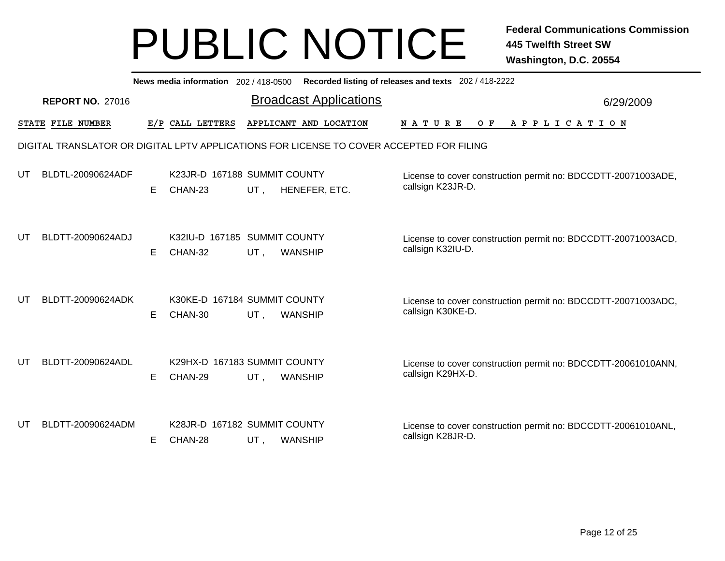|    | News media information 202 / 418-0500<br>Recorded listing of releases and texts 202 / 418-2222 |    |                                         |     |                                                                                          |                                                                                    |           |  |  |  |  |  |
|----|------------------------------------------------------------------------------------------------|----|-----------------------------------------|-----|------------------------------------------------------------------------------------------|------------------------------------------------------------------------------------|-----------|--|--|--|--|--|
|    | <b>REPORT NO. 27016</b>                                                                        |    |                                         |     | <b>Broadcast Applications</b>                                                            |                                                                                    | 6/29/2009 |  |  |  |  |  |
|    | STATE FILE NUMBER                                                                              |    | E/P CALL LETTERS                        |     | APPLICANT AND LOCATION                                                                   | O F<br>A P P L I C A T I O N<br>N A T U R E                                        |           |  |  |  |  |  |
|    |                                                                                                |    |                                         |     | DIGITAL TRANSLATOR OR DIGITAL LPTV APPLICATIONS FOR LICENSE TO COVER ACCEPTED FOR FILING |                                                                                    |           |  |  |  |  |  |
| UT | BLDTL-20090624ADF                                                                              | E. | K23JR-D 167188 SUMMIT COUNTY<br>CHAN-23 | UT, | HENEFER, ETC.                                                                            | License to cover construction permit no: BDCCDTT-20071003ADE,<br>callsign K23JR-D. |           |  |  |  |  |  |
| UT | BLDTT-20090624ADJ                                                                              | E. | K32IU-D 167185 SUMMIT COUNTY<br>CHAN-32 | UT. | <b>WANSHIP</b>                                                                           | License to cover construction permit no: BDCCDTT-20071003ACD,<br>callsign K32IU-D. |           |  |  |  |  |  |
| UT | BLDTT-20090624ADK                                                                              | E. | K30KE-D 167184 SUMMIT COUNTY<br>CHAN-30 | UT, | <b>WANSHIP</b>                                                                           | License to cover construction permit no: BDCCDTT-20071003ADC,<br>callsign K30KE-D. |           |  |  |  |  |  |
| UT | BLDTT-20090624ADL                                                                              | E. | K29HX-D 167183 SUMMIT COUNTY<br>CHAN-29 | UT, | <b>WANSHIP</b>                                                                           | License to cover construction permit no: BDCCDTT-20061010ANN,<br>callsign K29HX-D. |           |  |  |  |  |  |
| UT | BLDTT-20090624ADM                                                                              | E. | K28JR-D 167182 SUMMIT COUNTY<br>CHAN-28 | UT, | <b>WANSHIP</b>                                                                           | License to cover construction permit no: BDCCDTT-20061010ANL,<br>callsign K28JR-D. |           |  |  |  |  |  |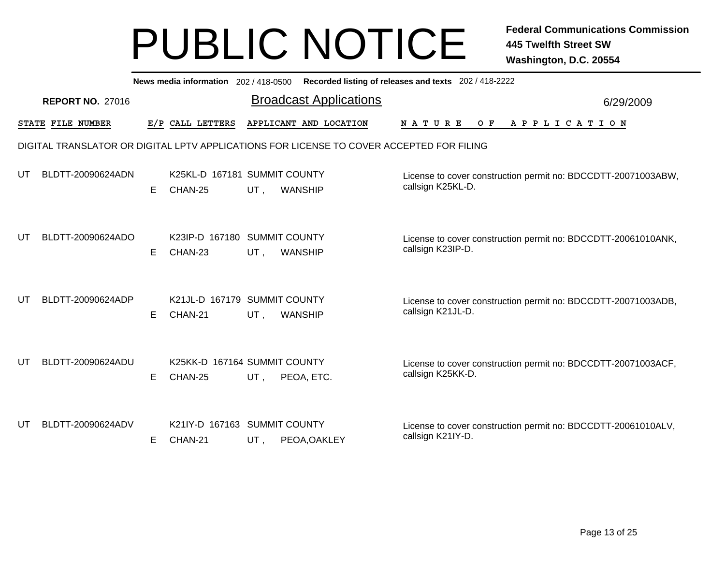|    |                         |    | News media information 202/418-0500     |     |                                                                                          | Recorded listing of releases and texts 202 / 418-2222                              |           |
|----|-------------------------|----|-----------------------------------------|-----|------------------------------------------------------------------------------------------|------------------------------------------------------------------------------------|-----------|
|    | <b>REPORT NO. 27016</b> |    |                                         |     | <b>Broadcast Applications</b>                                                            |                                                                                    | 6/29/2009 |
|    | STATE FILE NUMBER       |    | E/P CALL LETTERS                        |     | APPLICANT AND LOCATION                                                                   | N A T U R E<br>O F<br>A P P L I C A T I O N                                        |           |
|    |                         |    |                                         |     | DIGITAL TRANSLATOR OR DIGITAL LPTV APPLICATIONS FOR LICENSE TO COVER ACCEPTED FOR FILING |                                                                                    |           |
| UT | BLDTT-20090624ADN       | E. | K25KL-D 167181 SUMMIT COUNTY<br>CHAN-25 | UT, | <b>WANSHIP</b>                                                                           | License to cover construction permit no: BDCCDTT-20071003ABW,<br>callsign K25KL-D. |           |
| UT | BLDTT-20090624ADO       | E. | K23IP-D 167180 SUMMIT COUNTY<br>CHAN-23 | UT, | <b>WANSHIP</b>                                                                           | License to cover construction permit no: BDCCDTT-20061010ANK,<br>callsign K23IP-D. |           |
| UТ | BLDTT-20090624ADP       | E. | K21JL-D 167179 SUMMIT COUNTY<br>CHAN-21 | UT, | <b>WANSHIP</b>                                                                           | License to cover construction permit no: BDCCDTT-20071003ADB,<br>callsign K21JL-D. |           |
| UT | BLDTT-20090624ADU       | E. | K25KK-D 167164 SUMMIT COUNTY<br>CHAN-25 | UT, | PEOA, ETC.                                                                               | License to cover construction permit no: BDCCDTT-20071003ACF,<br>callsign K25KK-D. |           |
| UT | BLDTT-20090624ADV       | E. | K21IY-D 167163 SUMMIT COUNTY<br>CHAN-21 | UT, | PEOA, OAKLEY                                                                             | License to cover construction permit no: BDCCDTT-20061010ALV,<br>callsign K21IY-D. |           |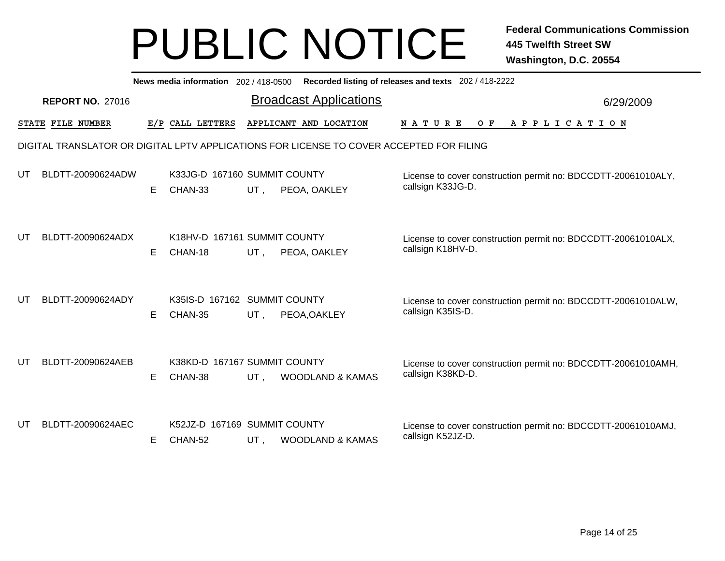|    |                         |    |                                         |        | News media information 202 / 418-0500 Recorded listing of releases and texts 202 / 418-2222 |                                                                                    |           |
|----|-------------------------|----|-----------------------------------------|--------|---------------------------------------------------------------------------------------------|------------------------------------------------------------------------------------|-----------|
|    | <b>REPORT NO. 27016</b> |    |                                         |        | <b>Broadcast Applications</b>                                                               |                                                                                    | 6/29/2009 |
|    | STATE FILE NUMBER       |    | E/P CALL LETTERS                        |        | APPLICANT AND LOCATION                                                                      | <b>NATURE</b><br>OF APPLICATION                                                    |           |
|    |                         |    |                                         |        | DIGITAL TRANSLATOR OR DIGITAL LPTV APPLICATIONS FOR LICENSE TO COVER ACCEPTED FOR FILING    |                                                                                    |           |
| UT | BLDTT-20090624ADW       | E. | K33JG-D 167160 SUMMIT COUNTY<br>CHAN-33 | UT,    | PEOA, OAKLEY                                                                                | License to cover construction permit no: BDCCDTT-20061010ALY,<br>callsign K33JG-D. |           |
| UT | BLDTT-20090624ADX       | E. | K18HV-D 167161 SUMMIT COUNTY<br>CHAN-18 | UT,    | PEOA, OAKLEY                                                                                | License to cover construction permit no: BDCCDTT-20061010ALX,<br>callsign K18HV-D. |           |
| UT | BLDTT-20090624ADY       | E  | K35IS-D 167162 SUMMIT COUNTY<br>CHAN-35 | UT,    | PEOA, OAKLEY                                                                                | License to cover construction permit no: BDCCDTT-20061010ALW,<br>callsign K35IS-D. |           |
| UT | BLDTT-20090624AEB       | E. | K38KD-D 167167 SUMMIT COUNTY<br>CHAN-38 | $UT$ , | <b>WOODLAND &amp; KAMAS</b>                                                                 | License to cover construction permit no: BDCCDTT-20061010AMH,<br>callsign K38KD-D. |           |
| UT | BLDTT-20090624AEC       | Е  | K52JZ-D 167169 SUMMIT COUNTY<br>CHAN-52 | UT,    | <b>WOODLAND &amp; KAMAS</b>                                                                 | License to cover construction permit no: BDCCDTT-20061010AMJ,<br>callsign K52JZ-D. |           |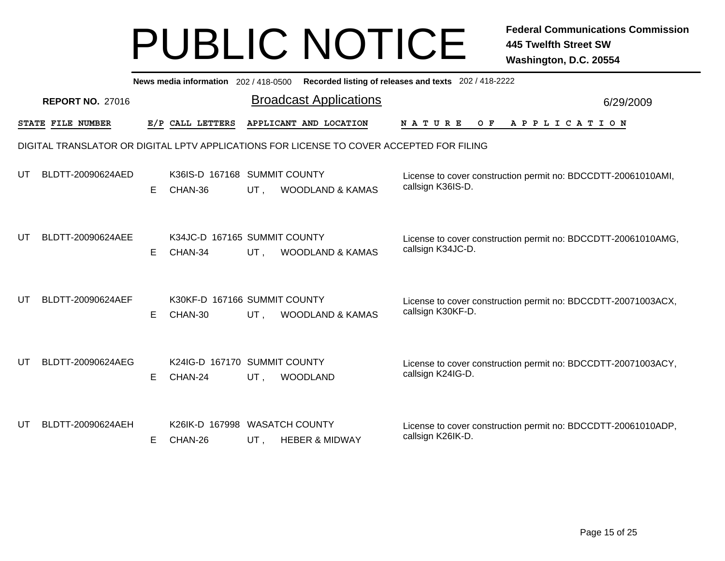|    |                         |    |                                          |        | News media information 202 / 418-0500 Recorded listing of releases and texts 202 / 418-2222 |                                                                                    |           |
|----|-------------------------|----|------------------------------------------|--------|---------------------------------------------------------------------------------------------|------------------------------------------------------------------------------------|-----------|
|    | <b>REPORT NO. 27016</b> |    |                                          |        | <b>Broadcast Applications</b>                                                               |                                                                                    | 6/29/2009 |
|    | STATE FILE NUMBER       |    | E/P CALL LETTERS                         |        | APPLICANT AND LOCATION                                                                      | <b>NATURE</b><br>O F<br>A P P L I C A T I O N                                      |           |
|    |                         |    |                                          |        | DIGITAL TRANSLATOR OR DIGITAL LPTV APPLICATIONS FOR LICENSE TO COVER ACCEPTED FOR FILING    |                                                                                    |           |
| UT | BLDTT-20090624AED       | Е  | K36IS-D 167168 SUMMIT COUNTY<br>CHAN-36  | UT,    | <b>WOODLAND &amp; KAMAS</b>                                                                 | License to cover construction permit no: BDCCDTT-20061010AMI,<br>callsign K36IS-D. |           |
| UT | BLDTT-20090624AEE       | E. | K34JC-D 167165 SUMMIT COUNTY<br>CHAN-34  | UT,    | <b>WOODLAND &amp; KAMAS</b>                                                                 | License to cover construction permit no: BDCCDTT-20061010AMG,<br>callsign K34JC-D. |           |
| UT | BLDTT-20090624AEF       | E. | K30KF-D 167166 SUMMIT COUNTY<br>CHAN-30  | $UT$ , | WOODLAND & KAMAS                                                                            | License to cover construction permit no: BDCCDTT-20071003ACX,<br>callsign K30KF-D. |           |
| UT | BLDTT-20090624AEG       | E  | K24IG-D 167170 SUMMIT COUNTY<br>CHAN-24  | UT,    | <b>WOODLAND</b>                                                                             | License to cover construction permit no: BDCCDTT-20071003ACY,<br>callsign K24IG-D. |           |
| UT | BLDTT-20090624AEH       | E  | K26IK-D 167998 WASATCH COUNTY<br>CHAN-26 | UT,    | <b>HEBER &amp; MIDWAY</b>                                                                   | License to cover construction permit no: BDCCDTT-20061010ADP,<br>callsign K26IK-D. |           |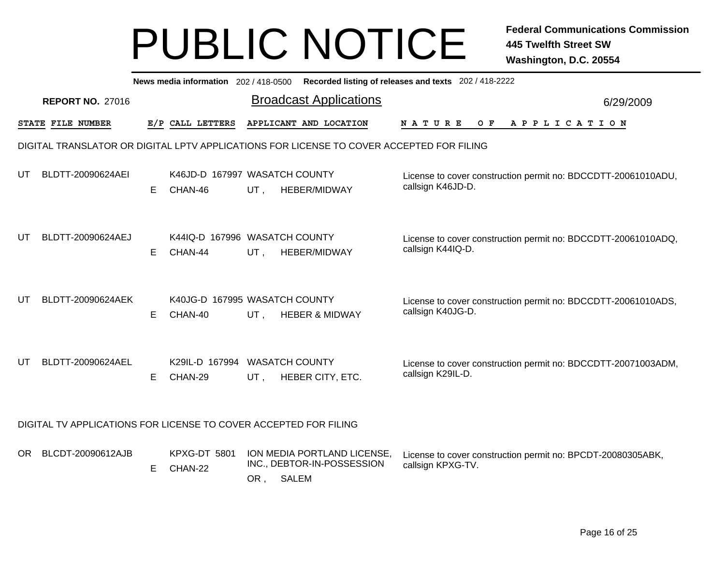|     |                                                                  |    |                                          |     |                                                                                          | News media information 202 / 418-0500 Recorded listing of releases and texts 202 / 418-2222 |           |
|-----|------------------------------------------------------------------|----|------------------------------------------|-----|------------------------------------------------------------------------------------------|---------------------------------------------------------------------------------------------|-----------|
|     | <b>REPORT NO. 27016</b>                                          |    |                                          |     | <b>Broadcast Applications</b>                                                            |                                                                                             | 6/29/2009 |
|     | STATE FILE NUMBER                                                |    | E/P CALL LETTERS                         |     | APPLICANT AND LOCATION                                                                   | NATURE<br>O F<br>APPLICATION                                                                |           |
|     |                                                                  |    |                                          |     | DIGITAL TRANSLATOR OR DIGITAL LPTV APPLICATIONS FOR LICENSE TO COVER ACCEPTED FOR FILING |                                                                                             |           |
| UT  | BLDTT-20090624AEI                                                | E. | K46JD-D 167997 WASATCH COUNTY<br>CHAN-46 | UT, | HEBER/MIDWAY                                                                             | License to cover construction permit no: BDCCDTT-20061010ADU,<br>callsign K46JD-D.          |           |
| UT  | BLDTT-20090624AEJ                                                | E. | K44IQ-D 167996 WASATCH COUNTY<br>CHAN-44 | UT, | HEBER/MIDWAY                                                                             | License to cover construction permit no: BDCCDTT-20061010ADQ,<br>callsign K44IQ-D.          |           |
| UT  | BLDTT-20090624AEK                                                | E. | K40JG-D 167995 WASATCH COUNTY<br>CHAN-40 | UT, | <b>HEBER &amp; MIDWAY</b>                                                                | License to cover construction permit no: BDCCDTT-20061010ADS,<br>callsign K40JG-D.          |           |
| UT  | BLDTT-20090624AEL                                                | E. | K29IL-D 167994 WASATCH COUNTY<br>CHAN-29 | UT. | HEBER CITY, ETC.                                                                         | License to cover construction permit no: BDCCDTT-20071003ADM,<br>callsign K29IL-D.          |           |
|     | DIGITAL TV APPLICATIONS FOR LICENSE TO COVER ACCEPTED FOR FILING |    |                                          |     |                                                                                          |                                                                                             |           |
| OR. | BLCDT-20090612AJB                                                | E. | KPXG-DT 5801<br>CHAN-22                  | OR, | ION MEDIA PORTLAND LICENSE,<br>INC., DEBTOR-IN-POSSESSION<br><b>SALEM</b>                | License to cover construction permit no: BPCDT-20080305ABK,<br>callsign KPXG-TV.            |           |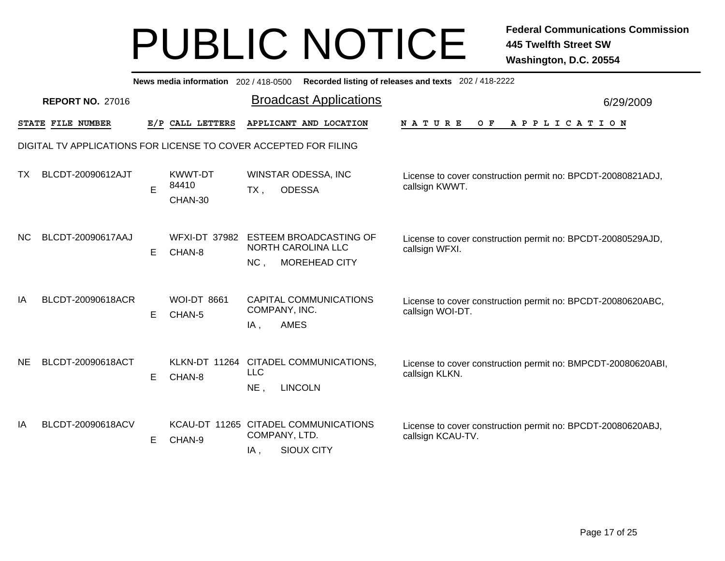|           |                         |    |                                    | News media information 202/418-0500 Recorded listing of releases and texts 202/418-2222 |                                                                                  |           |
|-----------|-------------------------|----|------------------------------------|-----------------------------------------------------------------------------------------|----------------------------------------------------------------------------------|-----------|
|           | <b>REPORT NO. 27016</b> |    |                                    | <b>Broadcast Applications</b>                                                           |                                                                                  | 6/29/2009 |
|           | STATE FILE NUMBER       |    | E/P CALL LETTERS                   | APPLICANT AND LOCATION                                                                  | APPLICATION<br>N A T U R E<br>O F                                                |           |
|           |                         |    |                                    | DIGITAL TV APPLICATIONS FOR LICENSE TO COVER ACCEPTED FOR FILING                        |                                                                                  |           |
| TX        | BLCDT-20090612AJT       | E  | <b>KWWT-DT</b><br>84410<br>CHAN-30 | WINSTAR ODESSA, INC<br><b>ODESSA</b><br>$TX$ ,                                          | License to cover construction permit no: BPCDT-20080821ADJ,<br>callsign KWWT.    |           |
| NC.       | BLCDT-20090617AAJ       | E  | <b>WFXI-DT 37982</b><br>CHAN-8     | ESTEEM BROADCASTING OF<br>NORTH CAROLINA LLC<br>MOREHEAD CITY<br>NC,                    | License to cover construction permit no: BPCDT-20080529AJD,<br>callsign WFXI.    |           |
| IA        | BLCDT-20090618ACR       | E. | <b>WOI-DT 8661</b><br>CHAN-5       | CAPITAL COMMUNICATIONS<br>COMPANY, INC.<br><b>AMES</b><br>$IA$ ,                        | License to cover construction permit no: BPCDT-20080620ABC,<br>callsign WOI-DT.  |           |
| <b>NE</b> | BLCDT-20090618ACT       | Е  | CHAN-8                             | KLKN-DT 11264 CITADEL COMMUNICATIONS,<br><b>LLC</b><br><b>LINCOLN</b><br>NE,            | License to cover construction permit no: BMPCDT-20080620ABI,<br>callsign KLKN.   |           |
| IA        | BLCDT-20090618ACV       | Е  | CHAN-9                             | KCAU-DT 11265 CITADEL COMMUNICATIONS<br>COMPANY, LTD.<br><b>SIOUX CITY</b><br>IA,       | License to cover construction permit no: BPCDT-20080620ABJ,<br>callsign KCAU-TV. |           |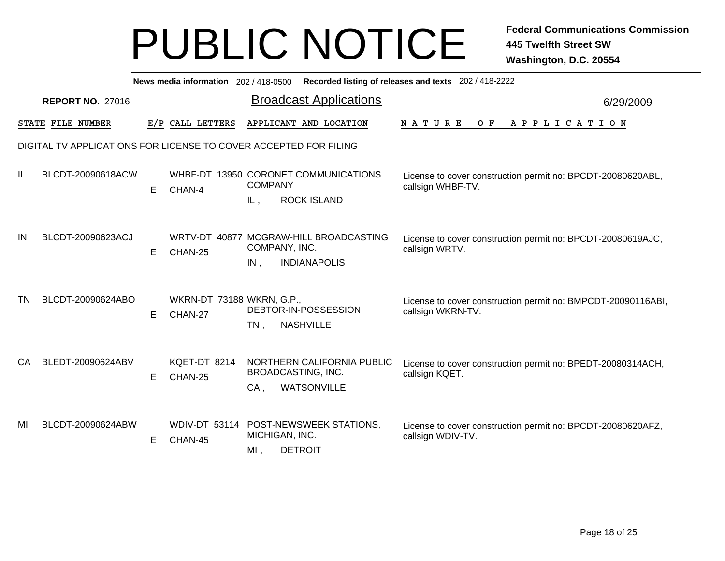|    |                         |    | News media information 202 / 418-0500 | Recorded listing of releases and texts 202 / 418-2222                                                                                                                   |           |
|----|-------------------------|----|---------------------------------------|-------------------------------------------------------------------------------------------------------------------------------------------------------------------------|-----------|
|    | <b>REPORT NO. 27016</b> |    |                                       | <b>Broadcast Applications</b>                                                                                                                                           | 6/29/2009 |
|    | STATE FILE NUMBER       |    | E/P CALL LETTERS                      | APPLICANT AND LOCATION<br>N A T U R E<br>$O$ F<br>A P P L I C A T I O N                                                                                                 |           |
|    |                         |    |                                       | DIGITAL TV APPLICATIONS FOR LICENSE TO COVER ACCEPTED FOR FILING                                                                                                        |           |
| ΙL | BLCDT-20090618ACW       | Е  | CHAN-4                                | WHBF-DT 13950 CORONET COMMUNICATIONS<br>License to cover construction permit no: BPCDT-20080620ABL,<br><b>COMPANY</b><br>callsign WHBF-TV.<br><b>ROCK ISLAND</b><br>IL, |           |
| IN | BLCDT-20090623ACJ       | E. | CHAN-25                               | WRTV-DT 40877 MCGRAW-HILL BROADCASTING<br>License to cover construction permit no: BPCDT-20080619AJC,<br>COMPANY, INC.<br>callsign WRTV.<br><b>INDIANAPOLIS</b><br>IN,  |           |
| ΤN | BLCDT-20090624ABO       | Е  | WKRN-DT 73188 WKRN, G.P.,<br>CHAN-27  | License to cover construction permit no: BMPCDT-20090116ABI,<br>DEBTOR-IN-POSSESSION<br>callsign WKRN-TV.<br><b>NASHVILLE</b><br>$TN$ ,                                 |           |
| CA | BLEDT-20090624ABV       | Е  | KQET-DT 8214<br>CHAN-25               | NORTHERN CALIFORNIA PUBLIC<br>License to cover construction permit no: BPEDT-20080314ACH,<br>BROADCASTING, INC.<br>callsign KQET.<br><b>WATSONVILLE</b><br>CA,          |           |
| MI | BLCDT-20090624ABW       | Е  | <b>WDIV-DT 53114</b><br>CHAN-45       | POST-NEWSWEEK STATIONS,<br>License to cover construction permit no: BPCDT-20080620AFZ,<br>MICHIGAN, INC.<br>callsign WDIV-TV.<br><b>DETROIT</b><br>MI,                  |           |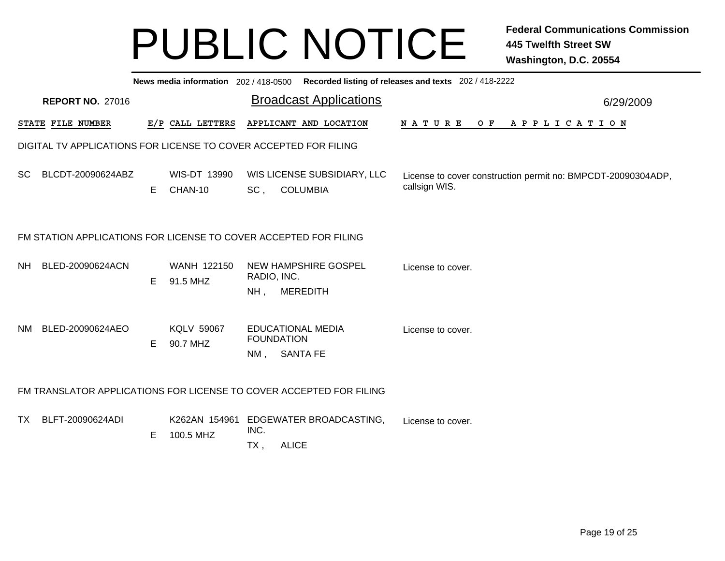|           |                                                                  |    |                               |                       | News media information 202 / 418-0500 Recorded listing of releases and texts 202 / 418-2222 |                                                                               |           |
|-----------|------------------------------------------------------------------|----|-------------------------------|-----------------------|---------------------------------------------------------------------------------------------|-------------------------------------------------------------------------------|-----------|
|           | <b>REPORT NO. 27016</b>                                          |    |                               |                       | <b>Broadcast Applications</b>                                                               |                                                                               | 6/29/2009 |
|           | STATE FILE NUMBER                                                |    | E/P CALL LETTERS              |                       | APPLICANT AND LOCATION                                                                      | NATURE OF APPLICATION                                                         |           |
|           | DIGITAL TV APPLICATIONS FOR LICENSE TO COVER ACCEPTED FOR FILING |    |                               |                       |                                                                                             |                                                                               |           |
| SC        | BLCDT-20090624ABZ                                                | E. | WIS-DT 13990<br>CHAN-10       | SC <sub>1</sub>       | WIS LICENSE SUBSIDIARY, LLC<br><b>COLUMBIA</b>                                              | License to cover construction permit no: BMPCDT-20090304ADP,<br>callsign WIS. |           |
|           | FM STATION APPLICATIONS FOR LICENSE TO COVER ACCEPTED FOR FILING |    |                               |                       |                                                                                             |                                                                               |           |
|           | NH BLED-20090624ACN                                              | E  | WANH 122150<br>91.5 MHZ       | RADIO, INC.<br>$NH$ , | NEW HAMPSHIRE GOSPEL<br><b>MEREDITH</b>                                                     | License to cover.                                                             |           |
| NM -      | BLED-20090624AEO                                                 | E. | <b>KQLV 59067</b><br>90.7 MHZ | NM,                   | <b>EDUCATIONAL MEDIA</b><br><b>FOUNDATION</b><br><b>SANTA FE</b>                            | License to cover.                                                             |           |
|           |                                                                  |    |                               |                       | FM TRANSLATOR APPLICATIONS FOR LICENSE TO COVER ACCEPTED FOR FILING                         |                                                                               |           |
| <b>TX</b> | BLFT-20090624ADI                                                 | E  | K262AN 154961<br>100.5 MHZ    | INC.<br>TX,           | EDGEWATER BROADCASTING,<br><b>ALICE</b>                                                     | License to cover.                                                             |           |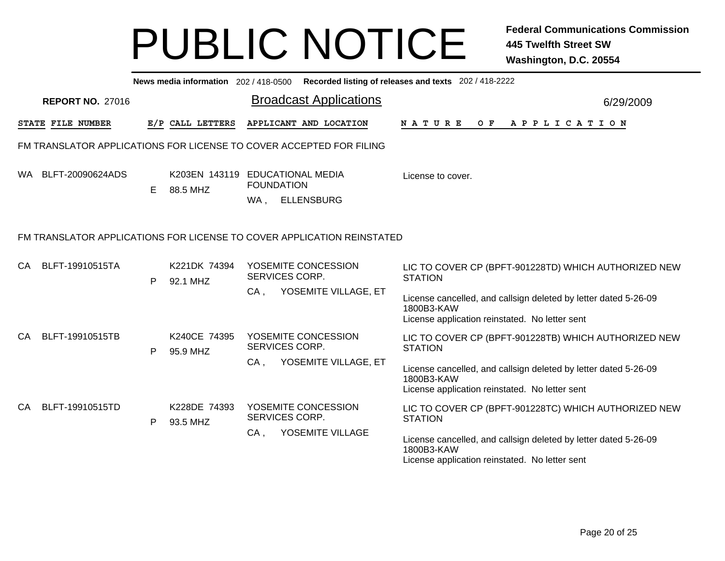|    |                   |                         |    |                                             |                          |                                                                        | News media information 202/418-0500 Recorded listing of releases and texts 202/418-2222                                         |           |
|----|-------------------|-------------------------|----|---------------------------------------------|--------------------------|------------------------------------------------------------------------|---------------------------------------------------------------------------------------------------------------------------------|-----------|
|    |                   | <b>REPORT NO. 27016</b> |    |                                             |                          | <b>Broadcast Applications</b>                                          |                                                                                                                                 | 6/29/2009 |
|    | STATE FILE NUMBER |                         |    | E/P CALL LETTERS                            |                          | APPLICANT AND LOCATION                                                 | N A T U R E<br>OF APPLICATION                                                                                                   |           |
|    |                   |                         |    |                                             |                          | FM TRANSLATOR APPLICATIONS FOR LICENSE TO COVER ACCEPTED FOR FILING    |                                                                                                                                 |           |
|    |                   | WA BLFT-20090624ADS     | E. | K203EN 143119 EDUCATIONAL MEDIA<br>88.5 MHZ | <b>FOUNDATION</b><br>WA, | <b>ELLENSBURG</b>                                                      | License to cover.                                                                                                               |           |
|    |                   |                         |    |                                             |                          | FM TRANSLATOR APPLICATIONS FOR LICENSE TO COVER APPLICATION REINSTATED |                                                                                                                                 |           |
| CA |                   | BLFT-19910515TA         | P  | K221DK 74394<br>92.1 MHZ                    | SERVICES CORP.           | YOSEMITE CONCESSION                                                    | LIC TO COVER CP (BPFT-901228TD) WHICH AUTHORIZED NEW<br><b>STATION</b>                                                          |           |
|    |                   |                         |    |                                             | CA,                      | YOSEMITE VILLAGE, ET                                                   | License cancelled, and callsign deleted by letter dated 5-26-09<br>1800B3-KAW<br>License application reinstated. No letter sent |           |
| CA |                   | BLFT-19910515TB         | P  | K240CE 74395<br>95.9 MHZ                    | SERVICES CORP.           | YOSEMITE CONCESSION                                                    | LIC TO COVER CP (BPFT-901228TB) WHICH AUTHORIZED NEW<br><b>STATION</b>                                                          |           |
|    |                   |                         |    |                                             | CA.                      | YOSEMITE VILLAGE, ET                                                   | License cancelled, and callsign deleted by letter dated 5-26-09<br>1800B3-KAW<br>License application reinstated. No letter sent |           |
| CA |                   | BLFT-19910515TD         | P  | K228DE 74393<br>93.5 MHZ                    | SERVICES CORP.           | YOSEMITE CONCESSION                                                    | LIC TO COVER CP (BPFT-901228TC) WHICH AUTHORIZED NEW<br><b>STATION</b>                                                          |           |
|    |                   |                         |    |                                             | $CA$ ,                   | YOSEMITE VILLAGE                                                       | License cancelled, and callsign deleted by letter dated 5-26-09<br>1800B3-KAW<br>License application reinstated. No letter sent |           |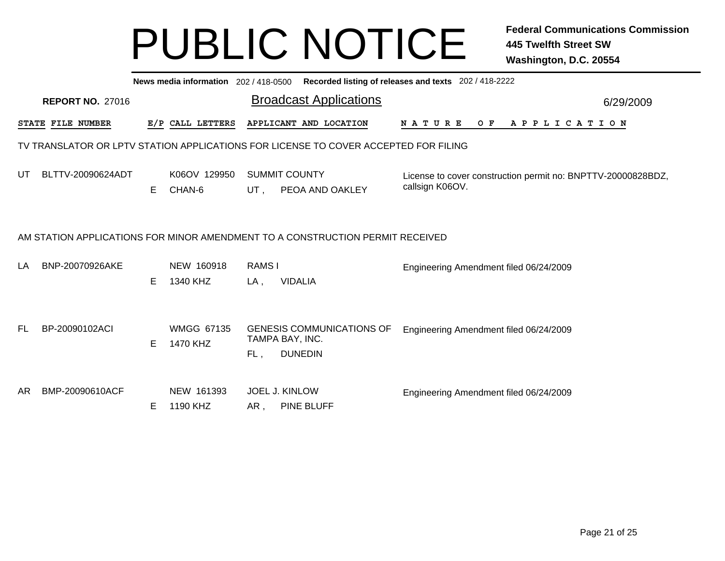|     |                          |    |                               |                               | News media information 202/418-0500 Recorded listing of releases and texts 202/418-2222 |                                                                                 |  |
|-----|--------------------------|----|-------------------------------|-------------------------------|-----------------------------------------------------------------------------------------|---------------------------------------------------------------------------------|--|
|     | <b>REPORT NO. 27016</b>  |    |                               | <b>Broadcast Applications</b> | 6/29/2009                                                                               |                                                                                 |  |
|     | <b>STATE FILE NUMBER</b> |    | E/P CALL LETTERS              |                               | APPLICANT AND LOCATION                                                                  | <b>NATURE</b><br>O F<br>A P P L I C A T I O N                                   |  |
|     |                          |    |                               |                               | TV TRANSLATOR OR LPTV STATION APPLICATIONS FOR LICENSE TO COVER ACCEPTED FOR FILING     |                                                                                 |  |
| UT  | BLTTV-20090624ADT        | E. | K06OV 129950<br>CHAN-6        | UT .                          | <b>SUMMIT COUNTY</b><br>PEOA AND OAKLEY                                                 | License to cover construction permit no: BNPTTV-20000828BDZ,<br>callsign K06OV. |  |
|     |                          |    |                               |                               | AM STATION APPLICATIONS FOR MINOR AMENDMENT TO A CONSTRUCTION PERMIT RECEIVED           |                                                                                 |  |
| LA  | BNP-20070926AKE          | Е  | NEW 160918<br>1340 KHZ        | RAMS I<br>$LA$ ,              | <b>VIDALIA</b>                                                                          | Engineering Amendment filed 06/24/2009                                          |  |
| FL. | BP-20090102ACI           | E. | <b>WMGG 67135</b><br>1470 KHZ | FL,                           | <b>GENESIS COMMUNICATIONS OF</b><br>TAMPA BAY, INC.<br><b>DUNEDIN</b>                   | Engineering Amendment filed 06/24/2009                                          |  |
| AR  | BMP-20090610ACF          | E  | NEW 161393<br>1190 KHZ        | AR,                           | JOEL J. KINLOW<br>PINE BLUFF                                                            | Engineering Amendment filed 06/24/2009                                          |  |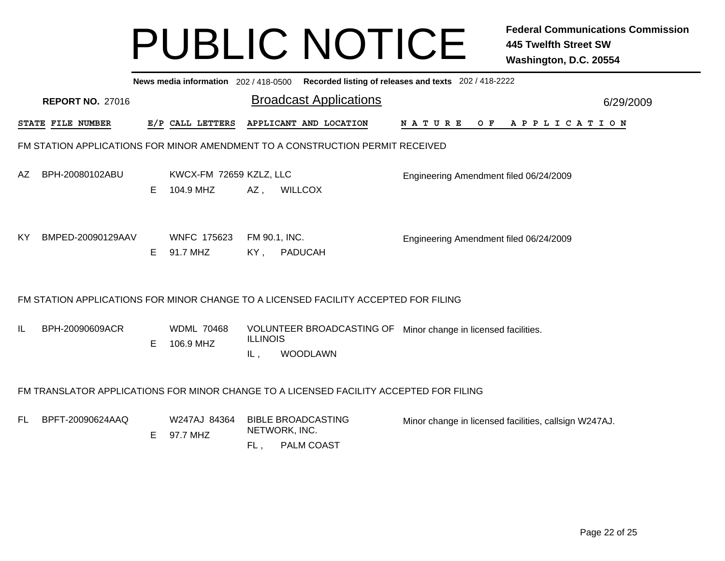|     |                                                                                        |    |                                      |                                                   | News media information 202 / 418-0500 Recorded listing of releases and texts 202 / 418-2222 |                                                       |  |  |  |  |                |  |           |
|-----|----------------------------------------------------------------------------------------|----|--------------------------------------|---------------------------------------------------|---------------------------------------------------------------------------------------------|-------------------------------------------------------|--|--|--|--|----------------|--|-----------|
|     | <b>REPORT NO. 27016</b>                                                                |    |                                      |                                                   | <b>Broadcast Applications</b>                                                               |                                                       |  |  |  |  |                |  | 6/29/2009 |
|     | STATE FILE NUMBER                                                                      |    | E/P CALL LETTERS                     |                                                   | APPLICANT AND LOCATION                                                                      | N A T U R E                                           |  |  |  |  | OF APPLICATION |  |           |
|     | FM STATION APPLICATIONS FOR MINOR AMENDMENT TO A CONSTRUCTION PERMIT RECEIVED          |    |                                      |                                                   |                                                                                             |                                                       |  |  |  |  |                |  |           |
| AZ  | BPH-20080102ABU                                                                        | E. | KWCX-FM 72659 KZLZ, LLC<br>104.9 MHZ | $AZ$ ,<br><b>WILLCOX</b>                          |                                                                                             | Engineering Amendment filed 06/24/2009                |  |  |  |  |                |  |           |
| KY. | BMPED-20090129AAV                                                                      | E. | <b>WNFC 175623</b><br>91.7 MHZ       | FM 90.1, INC.<br>PADUCAH<br>KY,                   |                                                                                             | Engineering Amendment filed 06/24/2009                |  |  |  |  |                |  |           |
|     | FM STATION APPLICATIONS FOR MINOR CHANGE TO A LICENSED FACILITY ACCEPTED FOR FILING    |    |                                      |                                                   |                                                                                             |                                                       |  |  |  |  |                |  |           |
| IL  | BPH-20090609ACR                                                                        | Е  | <b>WDML 70468</b><br>106.9 MHZ       | <b>ILLINOIS</b><br>IL,                            | VOLUNTEER BROADCASTING OF<br><b>WOODLAWN</b>                                                | Minor change in licensed facilities.                  |  |  |  |  |                |  |           |
|     | FM TRANSLATOR APPLICATIONS FOR MINOR CHANGE TO A LICENSED FACILITY ACCEPTED FOR FILING |    |                                      |                                                   |                                                                                             |                                                       |  |  |  |  |                |  |           |
| FL. | BPFT-20090624AAQ                                                                       | E. | W247AJ 84364<br>97.7 MHZ             | <b>BIBLE BROADCASTING</b><br>NETWORK, INC.<br>FL, | <b>PALM COAST</b>                                                                           | Minor change in licensed facilities, callsign W247AJ. |  |  |  |  |                |  |           |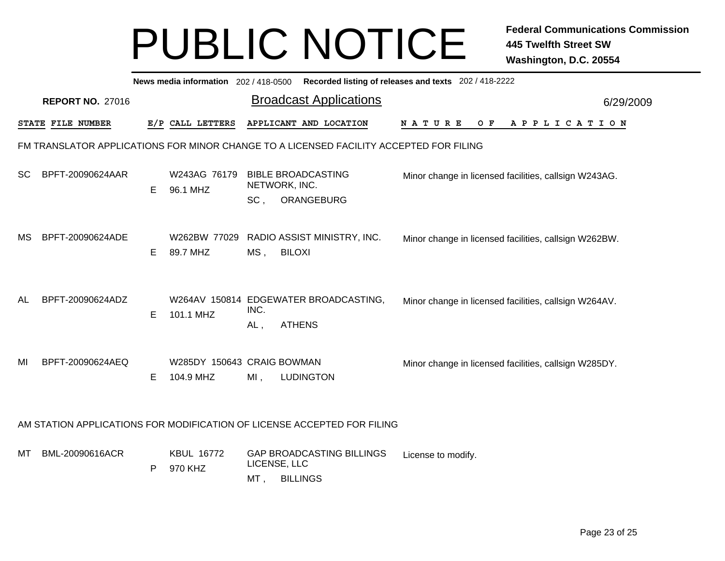|           |                         |    | News media information 202 / 418-0500   |                |                                                                                        | Recorded listing of releases and texts 202 / 418-2222 |           |
|-----------|-------------------------|----|-----------------------------------------|----------------|----------------------------------------------------------------------------------------|-------------------------------------------------------|-----------|
|           | <b>REPORT NO. 27016</b> |    |                                         |                | <b>Broadcast Applications</b>                                                          |                                                       | 6/29/2009 |
|           | STATE FILE NUMBER       |    | E/P CALL LETTERS                        |                | APPLICANT AND LOCATION                                                                 | NATURE<br>O F<br>APPLICATION                          |           |
|           |                         |    |                                         |                | FM TRANSLATOR APPLICATIONS FOR MINOR CHANGE TO A LICENSED FACILITY ACCEPTED FOR FILING |                                                       |           |
| <b>SC</b> | BPFT-20090624AAR        | E. | W243AG 76179<br>96.1 MHZ                | SC,            | <b>BIBLE BROADCASTING</b><br>NETWORK, INC.<br>ORANGEBURG                               | Minor change in licensed facilities, callsign W243AG. |           |
| МS        | BPFT-20090624ADE        | Е  | W262BW 77029<br>89.7 MHZ                | MS,            | RADIO ASSIST MINISTRY, INC.<br><b>BILOXI</b>                                           | Minor change in licensed facilities, callsign W262BW. |           |
| AL        | BPFT-20090624ADZ        | Е  | 101.1 MHZ                               | INC.<br>$AL$ , | W264AV 150814 EDGEWATER BROADCASTING,<br><b>ATHENS</b>                                 | Minor change in licensed facilities, callsign W264AV. |           |
| MI        | BPFT-20090624AEQ        | E. | W285DY 150643 CRAIG BOWMAN<br>104.9 MHZ | $MI$ ,         | <b>LUDINGTON</b>                                                                       | Minor change in licensed facilities, callsign W285DY. |           |
|           |                         |    |                                         |                | AM STATION APPLICATIONS FOR MODIFICATION OF LICENSE ACCEPTED FOR FILING                |                                                       |           |
| MТ        | BML-20090616ACR         | P  | <b>KBUL 16772</b><br>970 KHZ            | MT,            | <b>GAP BROADCASTING BILLINGS</b><br>LICENSE, LLC<br><b>BILLINGS</b>                    | License to modify.                                    |           |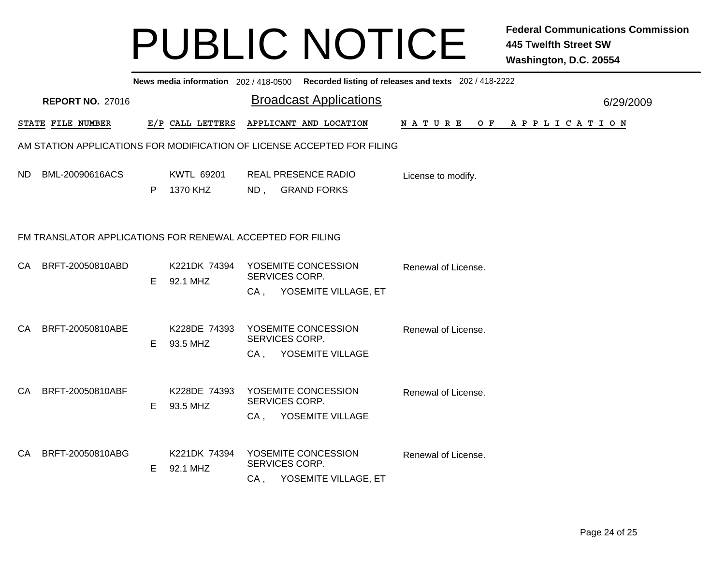|           |                                                            |    |                               |                          | News media information 202/418-0500 Recorded listing of releases and texts 202/418-2222 |                     |  |  |  |                |  |  |           |
|-----------|------------------------------------------------------------|----|-------------------------------|--------------------------|-----------------------------------------------------------------------------------------|---------------------|--|--|--|----------------|--|--|-----------|
|           | <b>REPORT NO. 27016</b>                                    |    |                               |                          | <b>Broadcast Applications</b>                                                           |                     |  |  |  |                |  |  | 6/29/2009 |
|           | STATE FILE NUMBER                                          |    | E/P CALL LETTERS              |                          | APPLICANT AND LOCATION                                                                  | N A T U R E         |  |  |  | OF APPLICATION |  |  |           |
|           |                                                            |    |                               |                          | AM STATION APPLICATIONS FOR MODIFICATION OF LICENSE ACCEPTED FOR FILING                 |                     |  |  |  |                |  |  |           |
| ND.       | BML-20090616ACS                                            | P  | <b>KWTL 69201</b><br>1370 KHZ | ND,                      | <b>REAL PRESENCE RADIO</b><br><b>GRAND FORKS</b>                                        | License to modify.  |  |  |  |                |  |  |           |
|           | FM TRANSLATOR APPLICATIONS FOR RENEWAL ACCEPTED FOR FILING |    |                               |                          |                                                                                         |                     |  |  |  |                |  |  |           |
| <b>CA</b> | BRFT-20050810ABD                                           | E. | K221DK 74394<br>92.1 MHZ      | SERVICES CORP.           | YOSEMITE CONCESSION<br>CA, YOSEMITE VILLAGE, ET                                         | Renewal of License. |  |  |  |                |  |  |           |
| CA.       | BRFT-20050810ABE                                           | E. | K228DE 74393<br>93.5 MHZ      | SERVICES CORP.<br>$CA$ , | YOSEMITE CONCESSION<br>YOSEMITE VILLAGE                                                 | Renewal of License. |  |  |  |                |  |  |           |
| CA        | BRFT-20050810ABF                                           | E  | K228DE 74393<br>93.5 MHZ      | SERVICES CORP.<br>CA,    | YOSEMITE CONCESSION<br>YOSEMITE VILLAGE                                                 | Renewal of License. |  |  |  |                |  |  |           |
| <b>CA</b> | BRFT-20050810ABG                                           | E  | K221DK 74394<br>92.1 MHZ      | SERVICES CORP.<br>CA,    | YOSEMITE CONCESSION<br>YOSEMITE VILLAGE, ET                                             | Renewal of License. |  |  |  |                |  |  |           |